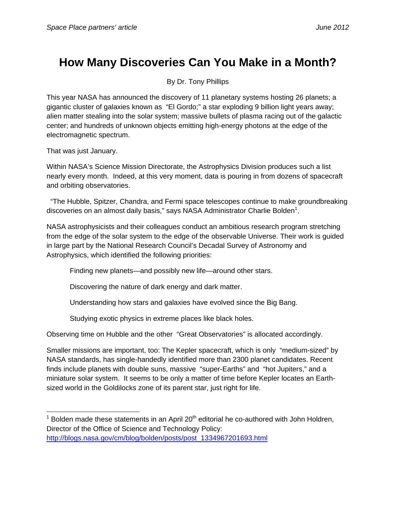## **How Many Discoveries Can You Make in a Month?**

By Dr. Tony Phillips

This year NASA has announced the discovery of 11 planetary systems hosting 26 planets; a gigantic cluster of galaxies known as "El Gordo;" a star exploding 9 billion light years away; alien matter stealing into the solar system; massive bullets of plasma racing out of the galactic center; and hundreds of unknown objects emitting high-energy photons at the edge of the electromagnetic spectrum.

That was just January.

Within NASA's Science Mission Directorate, the Astrophysics Division produces such a list nearly every month. Indeed, at this very moment, data is pouring in from dozens of spacecraft and orbiting observatories.

 "The Hubble, Spitzer, Chandra, and Fermi space telescopes continue to make groundbreaking discoveries on an almost daily basis," says NASA Administrator Charlie Bolden<sup>1</sup>.

NASA astrophysicists and their colleagues conduct an ambitious research program stretching from the edge of the solar system to the edge of the observable Universe. Their work is guided in large part by the National Research Council's Decadal Survey of Astronomy and Astrophysics, which identified the following priorities:

Finding new planets—and possibly new life—around other stars.

Discovering the nature of dark energy and dark matter.

Understanding how stars and galaxies have evolved since the Big Bang.

Studying exotic physics in extreme places like black holes.

Observing time on Hubble and the other "Great Observatories" is allocated accordingly.

Smaller missions are important, too: The Kepler spacecraft, which is only "medium-sized" by NASA standards, has single-handedly identified more than 2300 planet candidates. Recent finds include planets with double suns, massive "super-Earths" and "hot Jupiters," and a miniature solar system. It seems to be only a matter of time before Kepler locates an Earthsized world in the Goldilocks zone of its parent star, just right for life.

http://blogs.nasa.gov/cm/blog/bolden/posts/post\_1334967201693.html

 <sup>1</sup> Bolden made these statements in an April 20<sup>th</sup> editorial he co-authored with John Holdren, Director of the Office of Science and Technology Policy: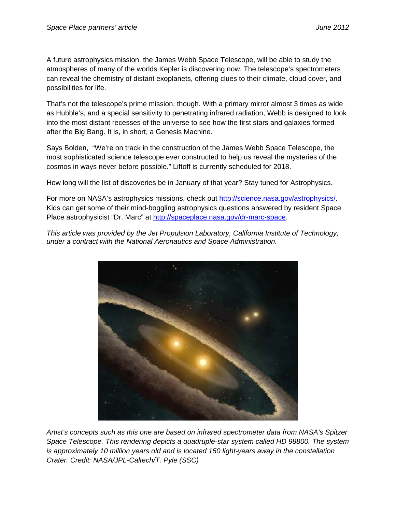A future astrophysics mission, the James Webb Space Telescope, will be able to study the atmospheres of many of the worlds Kepler is discovering now. The telescope's spectrometers can reveal the chemistry of distant exoplanets, offering clues to their climate, cloud cover, and possibilities for life.

That's not the telescope's prime mission, though. With a primary mirror almost 3 times as wide as Hubble's, and a special sensitivity to penetrating infrared radiation, Webb is designed to look into the most distant recesses of the universe to see how the first stars and galaxies formed after the Big Bang. It is, in short, a Genesis Machine.

Says Bolden, "We're on track in the construction of the James Webb Space Telescope, the most sophisticated science telescope ever constructed to help us reveal the mysteries of the cosmos in ways never before possible." Liftoff is currently scheduled for 2018.

How long will the list of discoveries be in January of that year? Stay tuned for Astrophysics.

For more on NASA's astrophysics missions, check out http://science.nasa.gov/astrophysics/. Kids can get some of their mind-boggling astrophysics questions answered by resident Space Place astrophysicist "Dr. Marc" at http://spaceplace.nasa.gov/dr-marc-space.

*This article was provided by the Jet Propulsion Laboratory, California Institute of Technology, under a contract with the National Aeronautics and Space Administration.* 



*Artist's concepts such as this one are based on infrared spectrometer data from NASA's Spitzer Space Telescope. This rendering depicts a quadruple-star system called HD 98800. The system is approximately 10 million years old and is located 150 light-years away in the constellation Crater. Credit: NASA/JPL-Caltech/T. Pyle (SSC)*